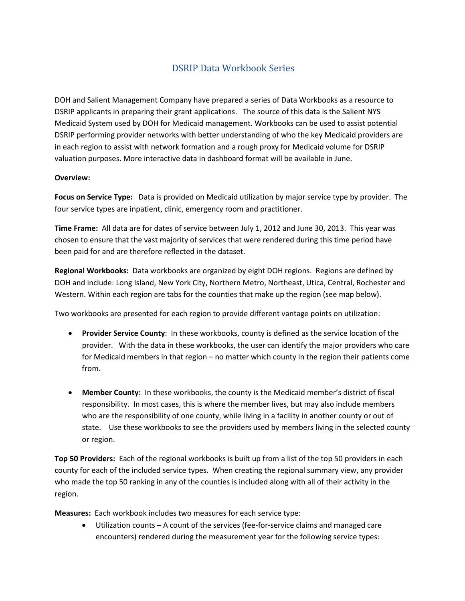## DSRIP Data Workbook Series

DOH and Salient Management Company have prepared a series of Data Workbooks as a resource to DSRIP applicants in preparing their grant applications. The source of this data is the Salient NYS Medicaid System used by DOH for Medicaid management. Workbooks can be used to assist potential DSRIP performing provider networks with better understanding of who the key Medicaid providers are in each region to assist with network formation and a rough proxy for Medicaid volume for DSRIP valuation purposes. More interactive data in dashboard format will be available in June.

## **Overview:**

**Focus on Service Type:** Data is provided on Medicaid utilization by major service type by provider. The four service types are inpatient, clinic, emergency room and practitioner.

**Time Frame:** All data are for dates of service between July 1, 2012 and June 30, 2013. This year was chosen to ensure that the vast majority of services that were rendered during this time period have been paid for and are therefore reflected in the dataset.

**Regional Workbooks:** Data workbooks are organized by eight DOH regions. Regions are defined by DOH and include: Long Island, New York City, Northern Metro, Northeast, Utica, Central, Rochester and Western. Within each region are tabs for the counties that make up the region (see map below).

Two workbooks are presented for each region to provide different vantage points on utilization:

- **Provider Service County**: In these workbooks, county is defined as the service location of the provider. With the data in these workbooks, the user can identify the major providers who care for Medicaid members in that region – no matter which county in the region their patients come from.
- **Member County:** In these workbooks, the county is the Medicaid member's district of fiscal responsibility. In most cases, this is where the member lives, but may also include members who are the responsibility of one county, while living in a facility in another county or out of state. Use these workbooks to see the providers used by members living in the selected county or region.

**Top 50 Providers:** Each of the regional workbooks is built up from a list of the top 50 providers in each county for each of the included service types. When creating the regional summary view, any provider who made the top 50 ranking in any of the counties is included along with all of their activity in the region.

**Measures:** Each workbook includes two measures for each service type:

• Utilization counts – A count of the services (fee-for-service claims and managed care encounters) rendered during the measurement year for the following service types: